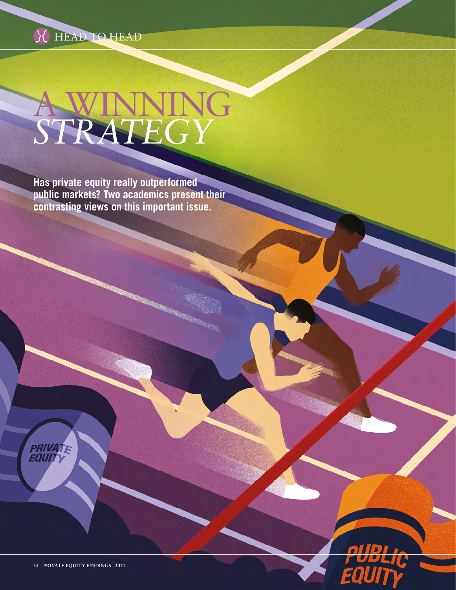

## A WINNING *STRATEGY*

**Has private equity really outperformed public markets? Two academics present their contrasting views on this important issue.**





D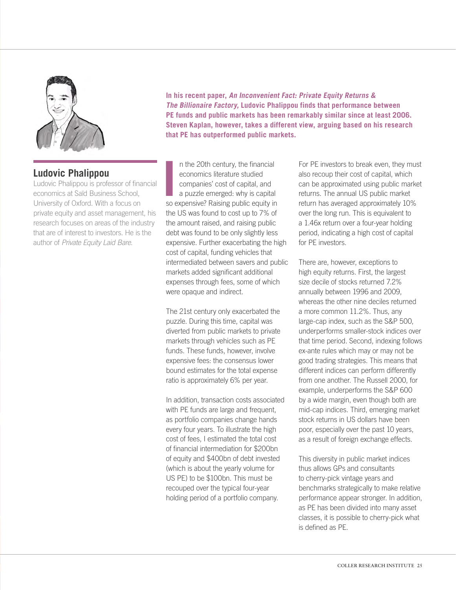

**In his recent paper, An Inconvenient Fact: Private Equity Returns & The Billionaire Factory, Ludovic Phalippou finds that performance between PE funds and public markets has been remarkably similar since at least 2006. Steven Kaplan, however, takes a different view, arguing based on his research that PE has outperformed public markets.**

## **Ludovic Phalippou**

Ludovic Phalippou is professor of financial economics at Saïd Business School, University of Oxford. With a focus on private equity and asset management, his research focuses on areas of the industry that are of interest to investors. He is the author of *Private Equity Laid Bare*.

In the 20th century, the financial<br>
economics literature studied<br>
companies' cost of capital, and<br>
a puzzle emerged: why is capital<br>
so expensive? Raising public equity in n the 20th century, the financial economics literature studied companies' cost of capital, and a puzzle emerged: why is capital the US was found to cost up to 7% of the amount raised, and raising public debt was found to be only slightly less expensive. Further exacerbating the high cost of capital, funding vehicles that intermediated between savers and public markets added significant additional expenses through fees, some of which were opaque and indirect.

The 21st century only exacerbated the puzzle. During this time, capital was diverted from public markets to private markets through vehicles such as PE funds. These funds, however, involve expensive fees: the consensus lower bound estimates for the total expense ratio is approximately 6% per year.

In addition, transaction costs associated with PE funds are large and frequent, as portfolio companies change hands every four years. To illustrate the high cost of fees, I estimated the total cost of financial intermediation for \$200bn of equity and \$400bn of debt invested (which is about the yearly volume for US PE) to be \$100bn. This must be recouped over the typical four-year holding period of a portfolio company.

For PE investors to break even, they must also recoup their cost of capital, which can be approximated using public market returns. The annual US public market return has averaged approximately 10% over the long run. This is equivalent to a 1.46x return over a four-year holding period, indicating a high cost of capital for PE investors.

There are, however, exceptions to high equity returns. First, the largest size decile of stocks returned 7.2% annually between 1996 and 2009, whereas the other nine deciles returned a more common 11.2%. Thus, any large-cap index, such as the S&P 500, underperforms smaller-stock indices over that time period. Second, indexing follows ex-ante rules which may or may not be good trading strategies. This means that different indices can perform differently from one another. The Russell 2000, for example, underperforms the S&P 600 by a wide margin, even though both are mid-cap indices. Third, emerging market stock returns in US dollars have been poor, especially over the past 10 years, as a result of foreign exchange effects.

This diversity in public market indices thus allows GPs and consultants to cherry-pick vintage years and benchmarks strategically to make relative performance appear stronger. In addition, as PE has been divided into many asset classes, it is possible to cherry-pick what is defined as PE.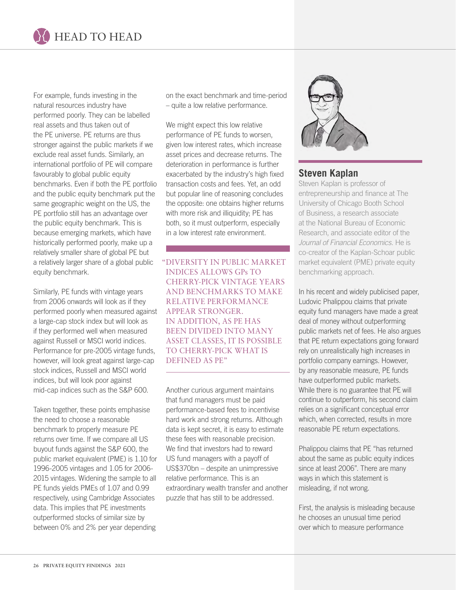

For example, funds investing in the natural resources industry have performed poorly. They can be labelled real assets and thus taken out of the PE universe. PE returns are thus stronger against the public markets if we exclude real asset funds. Similarly, an international portfolio of PE will compare favourably to global public equity benchmarks. Even if both the PE portfolio and the public equity benchmark put the same geographic weight on the US, the PE portfolio still has an advantage over the public equity benchmark. This is because emerging markets, which have historically performed poorly, make up a relatively smaller share of global PE but a relatively larger share of a global public equity benchmark.

Similarly, PE funds with vintage years from 2006 onwards will look as if they performed poorly when measured against a large-cap stock index but will look as if they performed well when measured against Russell or MSCI world indices. Performance for pre-2005 vintage funds, however, will look great against large-cap stock indices, Russell and MSCI world indices, but will look poor against mid-cap indices such as the S&P 600.

Taken together, these points emphasise the need to choose a reasonable benchmark to properly measure PE returns over time. If we compare all US buyout funds against the S&P 600, the public market equivalent (PME) is 1.10 for 1996-2005 vintages and 1.05 for 2006- 2015 vintages. Widening the sample to all PE funds yields PMEs of 1.07 and 0.99 respectively, using Cambridge Associates data. This implies that PE investments outperformed stocks of similar size by between 0% and 2% per year depending

on the exact benchmark and time-period – quite a low relative performance.

We might expect this low relative performance of PE funds to worsen, given low interest rates, which increase asset prices and decrease returns. The deterioration in performance is further exacerbated by the industry's high fixed transaction costs and fees. Yet, an odd but popular line of reasoning concludes the opposite: one obtains higher returns with more risk and illiquidity; PE has both, so it must outperform, especially in a low interest rate environment.

 "DIVERSITY IN PUBLIC MARKET INDICES ALLOWS GPs TO CHERRY-PICK VINTAGE YEARS AND BENCHMARKS TO MAKE RELATIVE PERFORMANCE APPEAR STRONGER. IN ADDITION, AS PE HAS BEEN DIVIDED INTO MANY ASSET CLASSES, IT IS POSSIBLE TO CHERRY-PICK WHAT IS DEFINED AS PE"

Another curious argument maintains that fund managers must be paid performance-based fees to incentivise hard work and strong returns. Although data is kept secret, it is easy to estimate these fees with reasonable precision. We find that investors had to reward US fund managers with a payoff of US\$370bn – despite an unimpressive relative performance. This is an extraordinary wealth transfer and another puzzle that has still to be addressed.



## **Steven Kaplan**

Steven Kaplan is professor of entrepreneurship and finance at The University of Chicago Booth School of Business, a research associate at the National Bureau of Economic Research, and associate editor of the *Journal of Financial Economics.* He is co-creator of the Kaplan-Schoar public market equivalent (PME) private equity benchmarking approach.

In his recent and widely publicised paper, Ludovic Phalippou claims that private equity fund managers have made a great deal of money without outperforming public markets net of fees. He also argues that PE return expectations going forward rely on unrealistically high increases in portfolio company earnings. However, by any reasonable measure, PE funds have outperformed public markets. While there is no guarantee that PE will continue to outperform, his second claim relies on a significant conceptual error which, when corrected, results in more reasonable PE return expectations.

Phalippou claims that PE "has returned about the same as public equity indices since at least 2006". There are many ways in which this statement is misleading, if not wrong.

First, the analysis is misleading because he chooses an unusual time period over which to measure performance